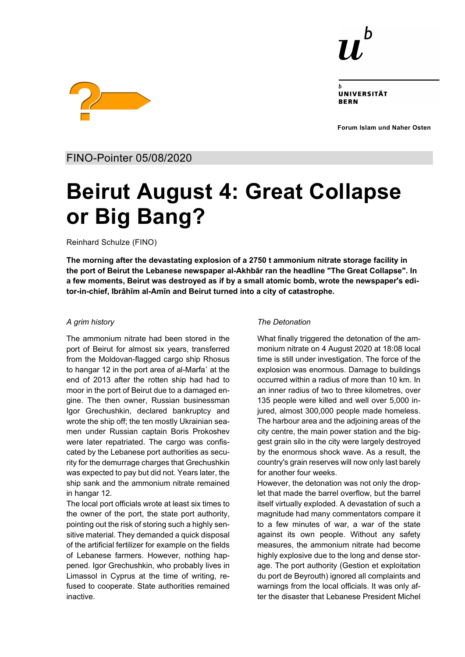

UNIVERSITÄT **RERN** 

**Forum Islam und Naher Osten**



FINO-Pointer 05/08/2020

# **Beirut August 4: Great Collapse or Big Bang?**

Reinhard Schulze (FINO)

**The morning after the devastating explosion of a 2750 t ammonium nitrate storage facility in the port of Beirut the Lebanese newspaper al-Akhbār ran the headline "The Great Collapse". In a few moments, Beirut was destroyed as if by a small atomic bomb, wrote the newspaper's editor-in-chief, Ibrāhīm al-Amīn and Beirut turned into a city of catastrophe.**

### *A grim history*

The ammonium nitrate had been stored in the port of Beirut for almost six years, transferred from the Moldovan-flagged cargo ship Rhosus to hangar 12 in the port area of al-Marfa᾽ at the end of 2013 after the rotten ship had had to moor in the port of Beirut due to a damaged engine. The then owner, Russian businessman Igor Grechushkin, declared bankruptcy and wrote the ship off; the ten mostly Ukrainian seamen under Russian captain Boris Prokoshev were later repatriated. The cargo was confiscated by the Lebanese port authorities as security for the demurrage charges that Grechushkin was expected to pay but did not. Years later, the ship sank and the ammonium nitrate remained in hangar 12.

The local port officials wrote at least six times to the owner of the port, the state port authority, pointing out the risk of storing such a highly sensitive material. They demanded a quick disposal of the artificial fertilizer for example on the fields of Lebanese farmers. However, nothing happened. Igor Grechushkin, who probably lives in Limassol in Cyprus at the time of writing, refused to cooperate. State authorities remained inactive.

### *The Detonation*

What finally triggered the detonation of the ammonium nitrate on 4 August 2020 at 18:08 local time is still under investigation. The force of the explosion was enormous. Damage to buildings occurred within a radius of more than 10 km. In an inner radius of two to three kilometres, over 135 people were killed and well over 5,000 injured, almost 300,000 people made homeless. The harbour area and the adjoining areas of the city centre, the main power station and the biggest grain silo in the city were largely destroyed by the enormous shock wave. As a result, the country's grain reserves will now only last barely for another four weeks.

However, the detonation was not only the droplet that made the barrel overflow, but the barrel itself virtually exploded. A devastation of such a magnitude had many commentators compare it to a few minutes of war, a war of the state against its own people. Without any safety measures, the ammonium nitrate had become highly explosive due to the long and dense storage. The port authority (Gestion et exploitation du port de Beyrouth) ignored all complaints and warnings from the local officials. It was only after the disaster that Lebanese President Michel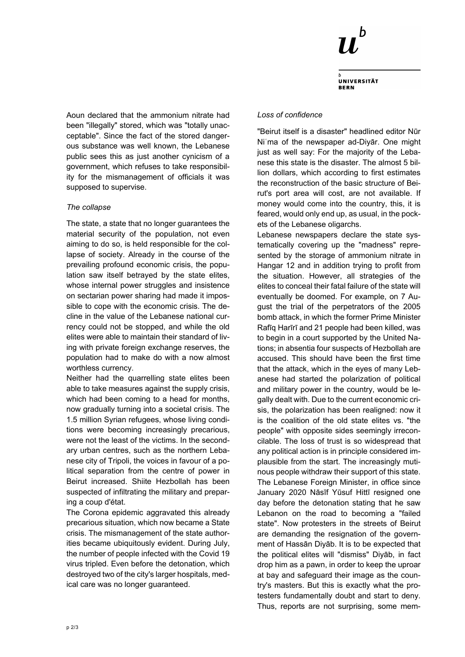

**UNIVERSITÄT** 

Aoun declared that the ammonium nitrate had been "illegally" stored, which was "totally unacceptable". Since the fact of the stored dangerous substance was well known, the Lebanese public sees this as just another cynicism of a government, which refuses to take responsibility for the mismanagement of officials it was supposed to supervise.

### *The collapse*

The state, a state that no longer guarantees the material security of the population, not even aiming to do so, is held responsible for the collapse of society. Already in the course of the prevailing profound economic crisis, the population saw itself betrayed by the state elites, whose internal power struggles and insistence on sectarian power sharing had made it impossible to cope with the economic crisis. The decline in the value of the Lebanese national currency could not be stopped, and while the old elites were able to maintain their standard of living with private foreign exchange reserves, the population had to make do with a now almost worthless currency.

Neither had the quarrelling state elites been able to take measures against the supply crisis, which had been coming to a head for months, now gradually turning into a societal crisis. The 1.5 million Syrian refugees, whose living conditions were becoming increasingly precarious, were not the least of the victims. In the secondary urban centres, such as the northern Lebanese city of Tripoli, the voices in favour of a political separation from the centre of power in Beirut increased. Shiite Hezbollah has been suspected of infiltrating the military and preparing a coup d'état.

The Corona epidemic aggravated this already precarious situation, which now became a State crisis. The mismanagement of the state authorities became ubiquitously evident. During July, the number of people infected with the Covid 19 virus tripled. Even before the detonation, which destroyed two of the city's larger hospitals, medical care was no longer guaranteed.

#### *Loss of confidence*

"Beirut itself is a disaster" headlined editor Nūr Niʿma of the newspaper ad-Diyār. One might just as well say: For the majority of the Lebanese this state is the disaster. The almost 5 billion dollars, which according to first estimates the reconstruction of the basic structure of Beirut's port area will cost, are not available. If money would come into the country, this, it is feared, would only end up, as usual, in the pockets of the Lebanese oligarchs.

Lebanese newspapers declare the state systematically covering up the "madness" represented by the storage of ammonium nitrate in Hangar 12 and in addition trying to profit from the situation. However, all strategies of the elites to conceal their fatal failure of the state will eventually be doomed. For example, on 7 August the trial of the perpetrators of the 2005 bomb attack, in which the former Prime Minister Rafīq Harīrī and 21 people had been killed, was to begin in a court supported by the United Nations; in absentia four suspects of Hezbollah are accused. This should have been the first time that the attack, which in the eyes of many Lebanese had started the polarization of political and military power in the country, would be legally dealt with. Due to the current economic crisis, the polarization has been realigned: now it is the coalition of the old state elites vs. "the people" with opposite sides seemingly irreconcilable. The loss of trust is so widespread that any political action is in principle considered implausible from the start. The increasingly mutinous people withdraw their support of this state. The Lebanese Foreign Minister, in office since January 2020 Nāsīf Yūsuf Hittī resigned one day before the detonation stating that he saw Lebanon on the road to becoming a "failed state". Now protesters in the streets of Beirut are demanding the resignation of the government of Hassān Diyāb. It is to be expected that the political elites will "dismiss" Diyāb, in fact drop him as a pawn, in order to keep the uproar at bay and safeguard their image as the country's masters. But this is exactly what the protesters fundamentally doubt and start to deny. Thus, reports are not surprising, some mem-